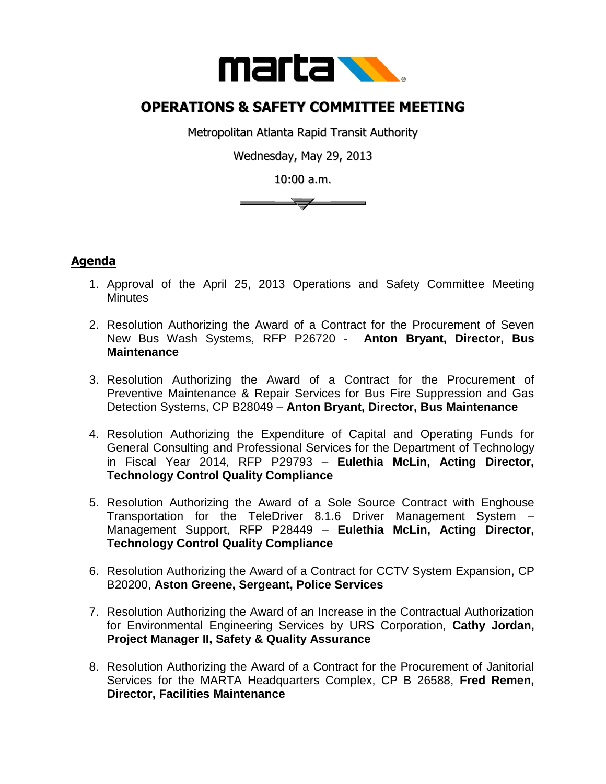

## **OPERATIONS & SAFETY COMMITTEE MEETING**

Metropolitan Atlanta Rapid Transit Authority

Wednesday, May 29, 2013

10:00 a.m.

 $\overline{\phantom{a}}$ 

## **Agenda**

- 1. Approval of the April 25, 2013 Operations and Safety Committee Meeting **Minutes**
- 2. Resolution Authorizing the Award of a Contract for the Procurement of Seven New Bus Wash Systems, RFP P26720 - **Anton Bryant, Director, Bus Maintenance**
- 3. Resolution Authorizing the Award of a Contract for the Procurement of Preventive Maintenance & Repair Services for Bus Fire Suppression and Gas Detection Systems, CP B28049 – **Anton Bryant, Director, Bus Maintenance**
- 4. Resolution Authorizing the Expenditure of Capital and Operating Funds for General Consulting and Professional Services for the Department of Technology in Fiscal Year 2014, RFP P29793 – **Eulethia McLin, Acting Director, Technology Control Quality Compliance**
- 5. Resolution Authorizing the Award of a Sole Source Contract with Enghouse Transportation for the TeleDriver 8.1.6 Driver Management System – Management Support, RFP P28449 – **Eulethia McLin, Acting Director, Technology Control Quality Compliance**
- 6. Resolution Authorizing the Award of a Contract for CCTV System Expansion, CP B20200, **Aston Greene, Sergeant, Police Services**
- 7. Resolution Authorizing the Award of an Increase in the Contractual Authorization for Environmental Engineering Services by URS Corporation, **Cathy Jordan, Project Manager II, Safety & Quality Assurance**
- 8. Resolution Authorizing the Award of a Contract for the Procurement of Janitorial Services for the MARTA Headquarters Complex, CP B 26588, **Fred Remen, Director, Facilities Maintenance**